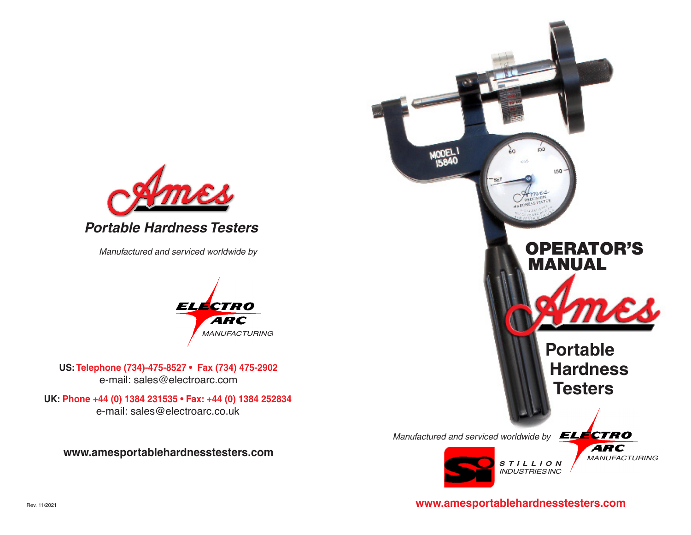

*Manufactured and serviced worldwide by*



**US: Telephone (734)-475-8527 • Fax (734) 475-2902** e-mail: sales@electroarc.com

**UK: Phone +44 (0) 1384 231535 • Fax: +44 (0) 1384 252834**  e-mail: sales@electroarc.co.uk

**www.amesportablehardnesstesters.com**



**www.amesportablehardnesstesters.com**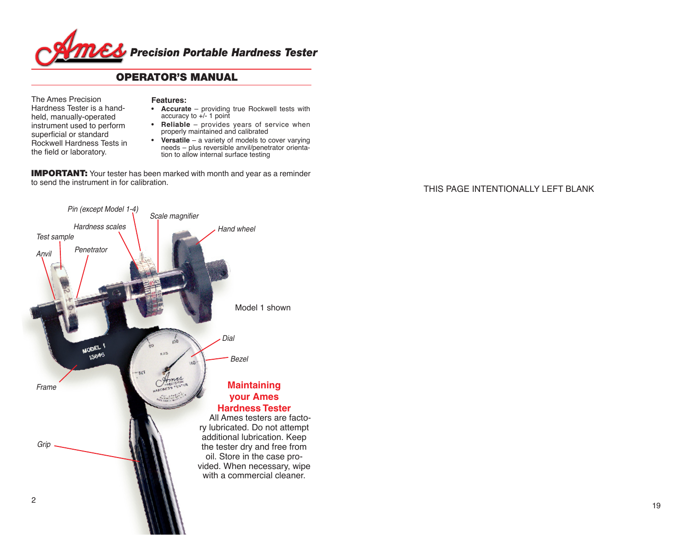

## OPERATOR'S MANUAL

The Ames Precision Hardness Tester is a handheld, manually-operated instrument used to perform superficial or standard Rockwell Hardness Tests in the field or laboratory.

### **Features:**

- **• Accurate** providing true Rockwell tests with accuracy to +/- 1 point
- **• Reliable**  provides years of service when properly maintained and calibrated
- **Versatile** a variety of models to cover varying needs – plus reversible anvil/penetrator orientation to allow internal surface testing

**IMPORTANT:** Your tester has been marked with month and year as a reminder to send the instrument in for calibration.

### THIS PAGE INTENTIONALLY LEFT BLANK

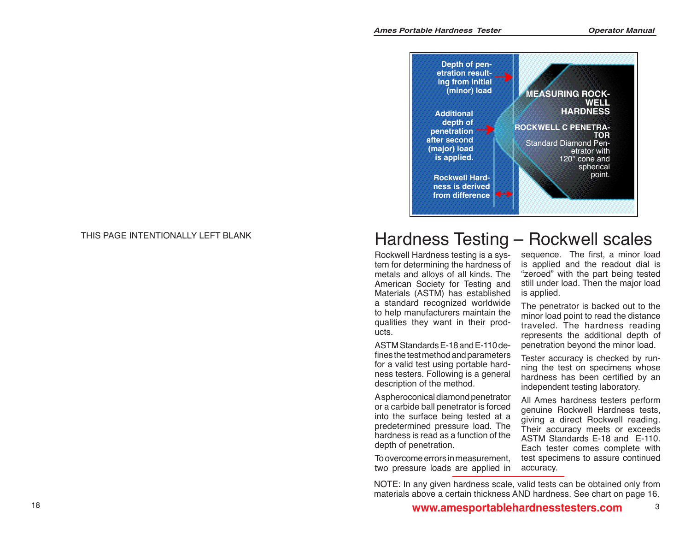

### THIS PAGE INTENTIONALLY LEFT BLANK

# Hardness Testing – Rockwell scales

Rockwell Hardness testing is a sys tem for determining the hardness of metals and alloys of all kinds. The American Society for Testing and Materials (ASTM) has established a standard recognized worldwide to help manufacturers maintain the qualities they want in their prod ucts.

ASTM Standards E-18 and E-110 de fines the test method and parameters for a valid test using portable hard ness testers. Following is a general description of the method.

A spheroconical diamond penetrator or a carbide ball penetrator is forced into the surface being tested at a predetermined pressure load. The hardness is read as a function of the depth of penetration.

To overcome errors in measurement, two pressure loads are applied in sequence. The first, a minor load is applied and the readout dial is "zeroed" with the part being tested still under load. Then the major load is applied.

The penetrator is backed out to the minor load point to read the distance traveled. The hardness reading represents the additional depth of penetration beyond the minor load.

Tester accuracy is checked by run ning the test on specimens whose hardness has been certified by an independent testing laboratory.

All Ames hardness testers perform genuine Rockwell Hardness tests, giving a direct Rockwell reading. Their accuracy meets or exceeds ASTM Standards E-18 and E-110. Each tester comes complete with test specimens to assure continued accuracy.

NOTE: In any given hardness scale, valid tests can be obtained only from materials above a certain thickness AND hardness. See chart on page 16.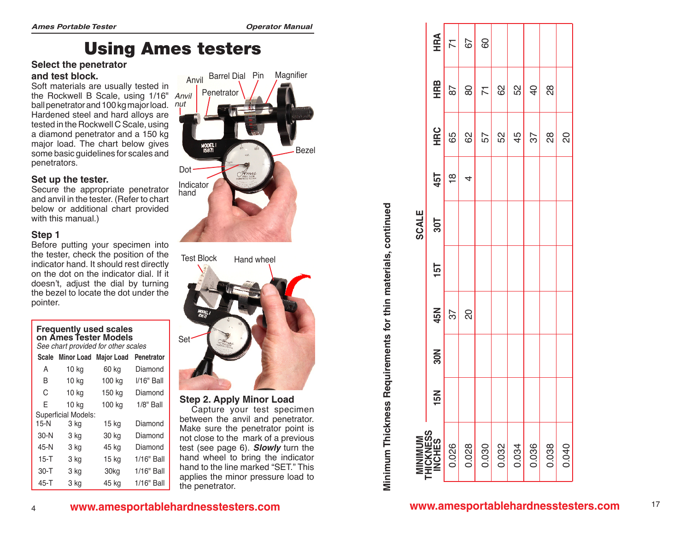# Using Ames testers

### **Select the penetrator and test block.**

Soft materials are usually tested in the Rockwell B Scale, using 1/16" *Anvil* ball penetrator and 100 kg major load. Hardened steel and hard alloys are tested in the Rockwell C Scale, using a diamond penetrator and a 150 kg major load. The chart below gives some basic guidelines for scales and penetrators.

### **Set up the tester.**

Secure the appropriate penetrator and anvil in the tester. (Refer to chart below or additional chart provided with this manual.)

### **Step 1**

4

Before putting your specimen into the tester, check the position of the indicator hand. It should rest directly on the dot on the indicator dial. If it doesn't, adjust the dial by turning the bezel to locate the dot under the pointer.

### **Frequently used scales on Ames Tester Models**

*See chart provided for other scales*

| <b>Scale</b> | <b>Minor Load</b>   | <b>Major Load</b> | <b>Penetrator</b> |
|--------------|---------------------|-------------------|-------------------|
| A            | 10 kg               | 60 kg             | Diamond           |
| B            | 10 kg               | 100 kg            | I/16" Ball        |
| C            | 10 kg               | 150 kg            | Diamond           |
| F            | 10 kg               | 100 kg            | $1/8"$ Ball       |
|              | Superficial Models: |                   |                   |
| $15-N$       | 3 kg                | 15 kg             | Diamond           |
| $30-N$       | 3 kg                | 30 kg             | Diamond           |
| 45-N         | 3 ka                | 45 kg             | Diamond           |
| $15 - T$     | 3 ka                | 15 kg             | 1/16" Ball        |
| $30 - T$     | 3 kg                | 30kg              | 1/16" Ball        |
| $45 - T$     | 3 kg                | 45 kg             | 1/16" Ball        |



Set Test Block Hand wheel

### **Step 2. Apply Minor Load**  Capture your test specimen between the anvil and penetrator. Make sure the penetrator point is not close to the mark of a previous test (see page 6). *Slowly* turn the hand wheel to bring the indicator hand to the line marked "SET." This applies the minor pressure load to the penetrator.

HRA **RC HRB HRA**  $\overline{K}$  $\overline{50}$ 79 62 80 67 0.030 57 71 72 72 72 73 74 75 75 76 76 77 78 79 79 70 70 70 71 72 72 73 74 75 76 77 77 77 77 78 79 7 0.026 | 0.02 | 0.02 | 0.02 | 0.02 | 0.02 | 0.02 | 0.02 | 0.02 | 0.02 | 0.02 | 0.0 HRB 87  $\overline{8}$  $\overline{7}$ 82 52  $\overline{Q}$  $\frac{80}{20}$ 0.032 February 2016 February 2016 February 2016 February 2016 February 2016 Feb 0.034 45 52 0.036 37 40 0.038 28 28 HRC 65 ΩŚ  $\frac{8}{20}$  $\overline{50}$ 62  $45$  $57$ 57 0.040 20  **INCHES 15N 30N 45N 15T 30T 45T H** 45T  $\frac{8}{1}$  $\overline{4}$ **ALE** 30T **M** NSC N **15T** 45N  $57$  $\overline{O}$ |<br>|<br>|<br>|<br>|<br>|<br>|<br>| 30N  $\mathbf{5}$ ÷ **S tHICKNESS** 0.028 0.036 0.038 0.026 0.030 0.032 0.034 0.040 **U M MINI**

# Minimum Thickness Requirements for thin materials, continued **Minimum Thickness Requirements for thin materials, continued**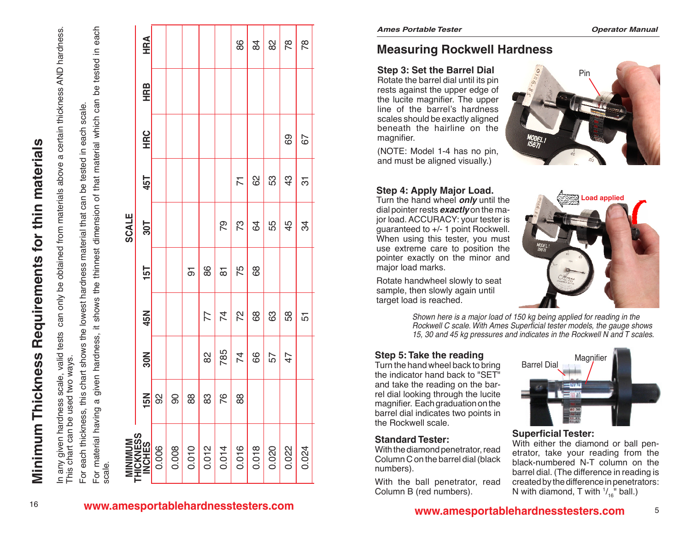In any given hardness scale, valid tests can only be obtained from materials above a certain thickness AND hardness. In any given hardness scale, valid tests can only be obtained from materials above a certain thickness AND hardness.<br>This chart can be used two ways. This chart can be used two ways.

scale. For each thickness, this chart shows the lowest hardness material that can be tested in each scale. each : this chart shows the lowest hardness material that can be tested in For each thickness,

For material having a given hardness, it shows the thinnest dimension of that material which can be tested in each a given hardness, it shows the thinnest dimension of that material which can be tested in each For material having scale.

|       | <b>HRA</b>                     |       |       |                |       |                | 86             | 84    | $\frac{2}{8}$ | 78    | 78             |
|-------|--------------------------------|-------|-------|----------------|-------|----------------|----------------|-------|---------------|-------|----------------|
|       | <b>HRB</b>                     |       |       |                |       |                |                |       |               |       |                |
|       | <b>HRC</b>                     |       |       |                |       |                |                |       |               | 69    | 67             |
|       | 45T                            |       |       |                |       |                | $\overline{7}$ | 82    | 53            | 43    | $\overline{5}$ |
| SCALE | 30T                            |       |       |                |       | 79             | 73             | 64    | 55            | 45    | 34             |
|       | 15T                            |       |       | $\overline{5}$ | 86    | $\overline{8}$ | 75             | 68    |               |       |                |
|       | 45N                            |       |       |                | 77    | $\overline{7}$ | 72             | 68    | 63            | 58    | 51             |
|       | 30N                            |       |       |                | 82    | 785            | $\overline{7}$ | 66    | 57            | 47    |                |
|       | 15N                            | 92    | 90    | 88             | 83    | 76             | 88             |       |               |       |                |
|       | MINIMUM<br>THICKNESS<br>INCHES | 0.006 | 0.008 | 0.010          | 0.012 | 0.014          | 0.016          | 0.018 | 0.020         | 0.022 | 0.024          |

<sup>16</sup> **www.amesportablehardnesstesters.com**

# **Measuring Rockwell Hardness**

**Step 3: Set the Barrel Dial** Rotate the barrel dial until its pin rests against the upper edge of the lucite magnifier. The upper line of the barrel's hardness scales should be exactly aligned beneath the hairline on the magnifier.

(NOTE: Model 1-4 has no pin, and must be aligned visually.)



### **Step 4: Apply Major Load.**

Turn the hand wheel *only* until the dial pointer rests *exactly* on the major load. ACCURACY: your tester is guaranteed to +/- 1 point Rockwell. When using this tester, you must use extreme care to position the pointer exactly on the minor and major load marks.

Rotate handwheel slowly to seat sample, then slowly again until target load is reached.



*Shown here is a major load of 150 kg being applied for reading in the Rockwell C scale. With Ames Superficial tester models, the gauge shows 15, 30 and 45 kg pressures and indicates in the Rockwell N and T scales.*

### **Step 5: Take the reading**

Turn the hand wheel back to bring the indicator hand back to "SET" and take the reading on the barrel dial looking through the lucite magnifier. Each graduation on the barrel dial indicates two points in the Rockwell scale.

### **Standard Tester:**

With the diamond penetrator, read Column C on the barrel dial (black numbers).

With the ball penetrator, read Column B (red numbers).



### **Superficial Tester:**

With either the diamond or ball penetrator, take your reading from the black-numbered N-T column on the barrel dial. (The difference in reading is created by the difference in penetrators: N with diamond, T with  $\frac{1}{16}$ " ball.)

5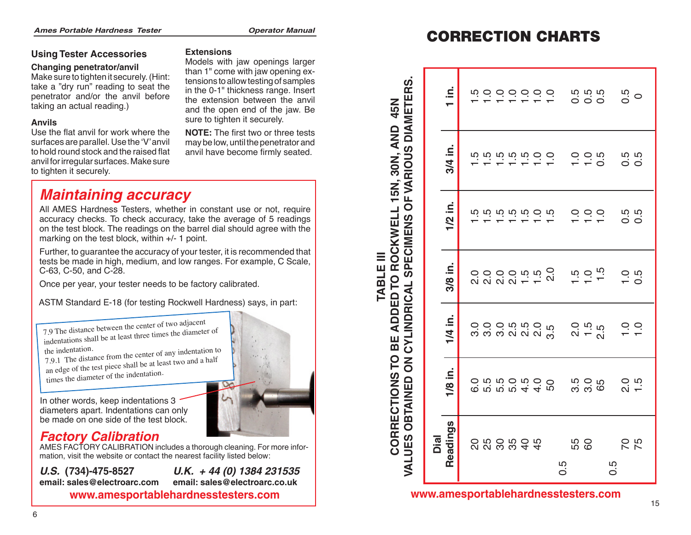### **Using Tester Accessories**

### **Changing penetrator/anvil**

Make sure to tighten it securely. (Hint: take a "dry run" reading to seat the penetrator and/or the anvil before taking an actual reading.)

### **Anvils**

Use the flat anvil for work where the surfaces are parallel. Use the 'V' anvil to hold round stock and the raised flat anvil for irregular surfaces. Make sure to tighten it securely.

### **Extensions**

Models with jaw openings larger than 1" come with jaw opening extensions to allow testing of samples in the 0-1" thickness range. Insert the extension between the anvil and the open end of the jaw. Be sure to tighten it securely.

# *Maintaining accuracy*

All AMES Hardness Testers, whether in constant use or not, require accuracy checks. To check accuracy, take the average of 5 readings on the test block. The readings on the barrel dial should agree with the marking on the test block, within +/- 1 point.

Further, to guarantee the accuracy of your tester, it is recommended that tests be made in high, medium, and low ranges. For example, C Scale, C-63, C-50, and C-28.

Once per year, your tester needs to be factory calibrated.

ASTM Standard E-18 (for testing Rockwell Hardness) says, in part:

7.9 The distance between the center of two adjacent indentations shall be at least three times the diameter o<sup>f</sup> the indentation.

7.9.1 The distance from the center of any indentation to an edge of the test piece shall be at least two and a half times the diameter of the indentation.

In other words, keep indentations 3 diameters apart. Indentations can only be made on one side of the test block.

# *Factory Calibration*

AMES FACTORY CALIBRATION includes a thorough cleaning. For more information, visit the website or contact the nearest facility listed below:

*U.S.* **(734)-475-8527** *U.K. + 44 (0) 1384 231535* **email: sales@electroarc.com email: sales@electroarc.co.uk**

# CORRECTION CHARTS

| penetrator/anvil                                                                                                                                                    | mouch with juw opermige larger<br>than 1" come with jaw opening ex-                                                                                                                            |                                                                              |                           |  |                                |                                     |                                                |    |
|---------------------------------------------------------------------------------------------------------------------------------------------------------------------|------------------------------------------------------------------------------------------------------------------------------------------------------------------------------------------------|------------------------------------------------------------------------------|---------------------------|--|--------------------------------|-------------------------------------|------------------------------------------------|----|
| to tighten it securely. (Hint:<br>y run" reading to seat the<br>and/or the anvil before<br>actual reading.)                                                         | tensions to allow testing of samples<br>in the 0-1" thickness range. Insert<br>the extension between the anvil<br>and the open end of the jaw. Be<br>sure to tighten it securely.              | 45N                                                                          | Ξ.<br>$\blacksquare$      |  | n o o o o o o                  | 5<br>5 5 5<br>5 6 5                 | 0.5                                            |    |
| at anvil for work where the<br>re parallel. Use the 'V' anvil<br>nd stock and the raised flat<br>egular surfaces. Make sure<br>it securely.                         | NOTE: The first two or three tests<br>may be low, until the penetrator and<br>anvil have become firmly seated.                                                                                 | <b>FVARIOUS DIAMETERS.</b><br><b>AND</b><br>15N, 30N,                        | 3/4 in.                   |  | ro ro ro ro co                 | $0.060$<br>$- 0.00$                 | 5<br>0<br>0<br>0<br>0                          |    |
| ntaining accuracy                                                                                                                                                   |                                                                                                                                                                                                |                                                                              |                           |  |                                |                                     |                                                |    |
| on the test block, within +/- 1 point.                                                                                                                              | S Hardness Testers, whether in constant use or not, require<br>y checks. To check accuracy, take the average of 5 readings<br>est block. The readings on the barrel dial should agree with the | $\overline{\mathbf{o}}$<br><b>ADDED TO ROCKWELL<br/>INDRICAL SPECIMENS O</b> | $\dot{\mathbf{z}}$<br>1/2 |  | ro ro ro ro ro ro              | 0000                                | rù rù<br>$\overline{\circ}$ $\overline{\circ}$ |    |
| -50, and C-28.                                                                                                                                                      | to guarantee the accuracy of your tester, it is recommended that<br>made in high, medium, and low ranges. For example, C Scale,                                                                | Ξ                                                                            | 3/8 in.                   |  | 00000000<br>200000000          | $1.5$<br>$-1.5$<br>$-1.5$           | $-0.5$                                         |    |
| er year, your tester needs to be factory calibrated.                                                                                                                |                                                                                                                                                                                                | <b>TABLE</b>                                                                 |                           |  |                                |                                     |                                                |    |
|                                                                                                                                                                     | Itandard E-18 (for testing Rockwell Hardness) says, in part:                                                                                                                                   |                                                                              |                           |  |                                |                                     |                                                |    |
| distance between the center of two adjacent<br>ions shall be at least three times the diameter of<br>ntation.<br>the distance from the center of any indentation to |                                                                                                                                                                                                | CYLINDRICAL<br>BE                                                            | 1/4 in.                   |  | o o o n n o n<br>m m m n n n m | $2.50$<br>$7.50$<br>$2.50$          | o o<br>$\overline{\phantom{a}}$                |    |
| of the test piece shall be at least two and a half<br>e diameter of the indentation.<br>words, keep indentations 3                                                  |                                                                                                                                                                                                | P<br>$\overline{6}$<br>CORRECTIONS<br><b>OBTAINED</b>                        | 1/8 in.                   |  |                                |                                     | 20.5                                           |    |
| rs apart. Indentations can only<br>e on one side of the test block.                                                                                                 |                                                                                                                                                                                                |                                                                              |                           |  |                                |                                     |                                                |    |
| ory Calibration                                                                                                                                                     |                                                                                                                                                                                                |                                                                              | adings                    |  |                                |                                     |                                                |    |
| visit the website or contact the nearest facility listed below:                                                                                                     | ACTORY CALIBRATION includes a thorough cleaning. For more infor-                                                                                                                               | VALUES                                                                       | Dial                      |  | 2009044                        | 55<br>60                            | 75                                             |    |
| 734)-475-8527<br>ales@electroarc.com                                                                                                                                | U.K. $+44(0)$ 1384 231535<br>email: sales@electroarc.co.uk                                                                                                                                     |                                                                              | Re                        |  |                                | $0.\overline{5}$                    | 0.5                                            |    |
| www.amesportablehardnesstesters.com                                                                                                                                 |                                                                                                                                                                                                |                                                                              |                           |  |                                | www.amesportablehardnesstesters.com |                                                |    |
|                                                                                                                                                                     |                                                                                                                                                                                                |                                                                              |                           |  |                                |                                     |                                                | 15 |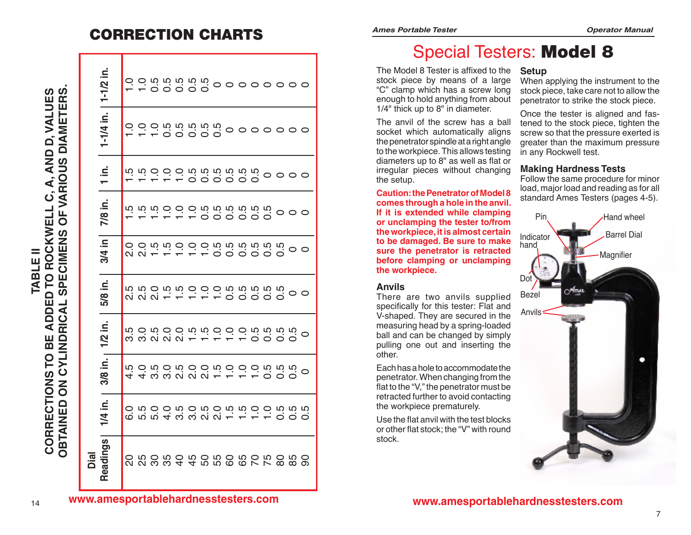# CORRECTION CHARTS

0 0 0 0 0 0 0

0 0 0 0 0 0 0

0000

000

0<br>0<br>0

 $\circ$ 

 $\circ$ 

0<br>0<br>0

| Dial                                                 |         |                                                    |                                    |         |        |           |                   |                       |                                     |
|------------------------------------------------------|---------|----------------------------------------------------|------------------------------------|---------|--------|-----------|-------------------|-----------------------|-------------------------------------|
| Readings                                             | 1/4 in. | 3/8 in.                                            | 1/2 in.                            | 5/8 in. | 3/4 in | .≤<br>7/8 | $\frac{1}{1}$ in. | 1-1/4 in.   1-1/2 in. |                                     |
|                                                      |         |                                                    |                                    |         |        |           |                   |                       |                                     |
|                                                      |         |                                                    |                                    |         |        |           |                   |                       |                                     |
| 2 2 3 3 4 4 5 5 6 6 7 7<br>2 3 9 9 9 9 9 9 9 9 9 0 7 |         | t 4 w w w w w + + + + 0<br>t + w w w w w + + + + 0 | condocina condo<br>condocina condo |         |        |           |                   |                       | - - 00000<br>- - 00000<br>- - 00000 |
|                                                      |         |                                                    |                                    |         |        |           |                   |                       |                                     |
|                                                      |         |                                                    |                                    |         |        |           |                   |                       |                                     |
|                                                      |         |                                                    |                                    |         |        |           |                   |                       |                                     |
|                                                      |         |                                                    |                                    |         |        |           |                   |                       |                                     |
|                                                      |         |                                                    |                                    |         |        |           |                   |                       |                                     |
|                                                      |         |                                                    |                                    |         |        |           |                   |                       |                                     |
|                                                      |         |                                                    |                                    |         |        |           |                   |                       |                                     |
|                                                      |         |                                                    |                                    |         |        |           |                   |                       |                                     |
|                                                      |         |                                                    |                                    |         |        |           |                   |                       |                                     |

80 0.5 0.5 0.5 0.5 0.5

85 0.5 0.5 0.5

90 0.5

 $\circ$ 

 $\circ$ 

|  | <b>Ames Portable Teste</b> |  |
|--|----------------------------|--|
|  |                            |  |

# Special Testers: Model 8

The Model 8 Tester is affixed to the stock piece by means of a large "C" clamp which has a screw long enough to hold anything from about 1/4" thick up to 8" in diameter.

The anvil of the screw has a ball socket which automatically aligns the penetrator spindle at a right angle to the workpiece. This allows testing diameters up to 8" as well as flat or irregular pieces without changing the setup.

**Caution: the Penetrator of Model 8 comes through a hole in the anvil. If it is extended while clamping or unclamping the tester to/from the workpiece, it is almost certain to be damaged. Be sure to make sure the penetrator is retracted before clamping or unclamping the workpiece.**

### **Anvils**

There are two anvils supplied specifically for this tester: Flat and V-shaped. They are secured in the measuring head by a spring-loaded ball and can be changed by simply pulling one out and inserting the other.

Each has a hole to accommodate the penetrator. When changing from the flat to the "V," the penetrator must be retracted further to avoid contacting the workpiece prematurely.

Use the flat anvil with the test blocks or other flat stock; the "V" with round stock.

### **Setup**

When applying the instrument to the stock piece, take care not to allow the penetrator to strike the stock piece.

Once the tester is aligned and fastened to the stock piece, tighten the screw so that the pressure exerted is greater than the maximum pressure in any Rockwell test.

### **Making Hardness Tests**

Follow the same procedure for minor load, major load and reading as for all standard Ames Testers (pages 4-5).



**www.amesportablehardnesstesters.com** 14

**www.amesportablehardnesstesters.com**

**CORREC**

**OBTAINED ON**

**OBTAINED** 

**C** $\overline{5}$ 

**YLIND**

**RIC AL** <u>(</u>

**PECI**

**MENS**

**OF VARIOUS DIAM**

**E TE R**<u>ທ່</u>

**CORRECTIONS** 

**O B**

Ш

**E ADDED T**

**O ROCKWELL**

**ADDED TO ROCKWELL** 

**C, A, AND**

**D, VALUES**

D, VALUES

**TABLE II**

**TABLE** 

Ξ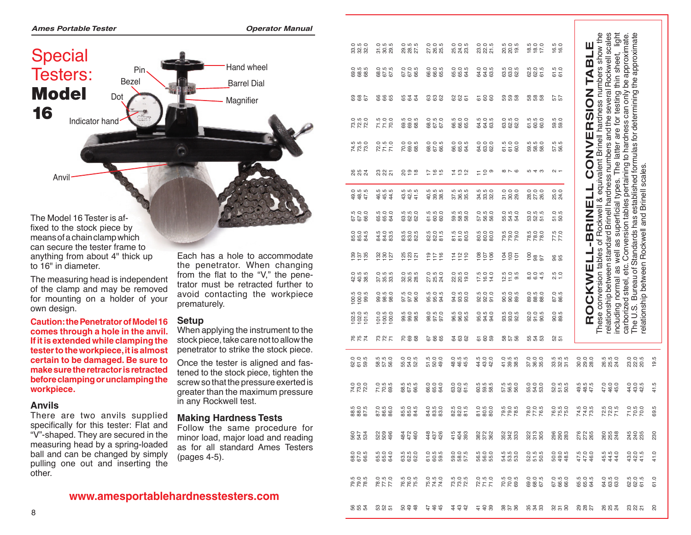

The Model 16 Tester is af fixed to the stock piece by means of a chain clamp which can secure the tester frame to anything from about 4" thick up to 16" in diameter.

The measuring head is independent of the clamp and may be removed for mounting on a holder of your own design.

**Caution: the Penetrator of Model 16 if it is extended while clamping the tester to the workpiece, it is almost certain to be damaged. Be sure to make sure the retractor is retracted before clamping or unclamping the workpiece.**

### **Anvils**

There are two anvils supplied specifically for this tester: Flat and "V"-shaped. They are secured in the measuring head by a spring-loaded ball and can be changed by simply pulling one out and inserting the other.

Each has a hole to accommodate the penetrator. When changing from the flat to the "V," the penetrator must be retracted further to avoid contacting the workpiece prematurely.

 *Operator Manual*

### **Setup**

When applying the instrument to the stock piece, take care not to allow the penetrator to strike the stock piece.

Once the tester is aligned and fas tened to the stock piece, tighten the screw so that the pressure exerted is greater than the maximum pressure in any Rockwell test.

### **Making Hardness Tests**

Follow the same procedure for minor load, major load and reading as for all standard Ames Testers (pages 4-5).

| 0<br>30<br>30<br>30                               | 0<br>5 0 5<br>5 0 8                                    | 0<br>0 10<br>0 10<br>27<br>27                               | 27.0<br>26.0<br>25.0                                      | 0<br>0<br>0<br>0<br>0<br>0<br>0<br>0                       | 0<br>8 2 5<br>2 5                    | 20.0<br>20.0<br>19.0                                                                    | $\frac{18.5}{17.0}$                                 | 16.5<br>16.0                             | ш                                       | These conversion tables of Rockwell & equivalent Brinell hardness numbers show the<br>relationship between standard Brinell hardness numbers and the several Rockwell scales<br>including normal as well as superficial types. The latter are for testing thin sheet, light | The U.S. Bureau of Standards has established formulas for determining the approximate<br>carborized steel, etc. Conversion tables pertaining to hardness can only be approximate |                    |
|---------------------------------------------------|--------------------------------------------------------|-------------------------------------------------------------|-----------------------------------------------------------|------------------------------------------------------------|--------------------------------------|-----------------------------------------------------------------------------------------|-----------------------------------------------------|------------------------------------------|-----------------------------------------|-----------------------------------------------------------------------------------------------------------------------------------------------------------------------------------------------------------------------------------------------------------------------------|----------------------------------------------------------------------------------------------------------------------------------------------------------------------------------|--------------------|
| $\overline{O}$ in in<br><b>888</b>                | o in io<br>867.                                        | 67.0<br>67.0<br>66.5                                        | 0<br>0<br>0<br>0<br>0<br>0<br>0<br>0                      | 65.0<br>65.5<br>64.5                                       | 0<br>0<br>0<br>0<br>0<br>0<br>0<br>0 | ro ro<br><b>888</b>                                                                     | 62.0<br>62.5<br>61.5                                | 61.5<br>61.0                             | TABLI                                   |                                                                                                                                                                                                                                                                             |                                                                                                                                                                                  |                    |
| 885                                               | <b>885</b>                                             | 6 2 2<br>6                                                  | ಙ ಙ ಜ                                                     | 885                                                        | 585                                  | ន ន ន                                                                                   | 88 88<br>89                                         | 57<br>57                                 |                                         |                                                                                                                                                                                                                                                                             |                                                                                                                                                                                  |                    |
| 73.5<br>72.0<br>72.0                              | 7.5<br>7.7.0<br>72                                     | 5<br>00<br>00<br>00<br>00                                   | 68.5<br>67.5<br>67.0                                      | 660<br>660<br>66                                           | 5<br>5<br>5<br>6<br>6<br>5<br>5<br>5 | 0<br>0 0 0<br>0 0 0                                                                     | 51.5<br>60.0<br>60                                  | rù o<br><u>အီ</u> အီ                     |                                         |                                                                                                                                                                                                                                                                             |                                                                                                                                                                                  |                    |
| rù rù o                                           | $72.0$<br>$7.5$<br>$7.0$                               | 0005<br>0005<br>0007                                        | $\overline{O}$ $\overline{O}$ $\overline{O}$<br>68.<br>66 | $\overline{O}$ $\overline{O}$ $\overline{O}$<br><b>884</b> | 0<br>8<br>8<br>8<br>8                | 51.0<br>51.0<br>50                                                                      | <b>5000</b><br>888                                  | ro ro<br>57.6                            |                                         |                                                                                                                                                                                                                                                                             |                                                                                                                                                                                  |                    |
| <b>882</b>                                        | ಇ ಇ ಸ                                                  | 899                                                         | <u>는 은 또</u>                                              | 후 은 일                                                      | $= 50$                               | $\infty \sim \infty$                                                                    | ro 4 w                                              | $\sim$ $-$                               | ROCKWELL-BRINELL CONVERSION             |                                                                                                                                                                                                                                                                             |                                                                                                                                                                                  |                    |
| $49.5$<br>$49.5$<br>$47.5$                        | 555<br>444                                             | 5<br>5<br>5<br>5<br>5<br>5<br>र्दे से म                     | 5<br>5<br>5<br>5<br>ಕೆ ೪ ೫                                | 5<br>5<br>5<br>5<br>5<br>5<br>5.88                         | 54.5<br>38.9<br>32.9                 |                                                                                         | 0<br>0<br>0<br>26.0<br>26.0                         | 25.0<br>24.0                             |                                         |                                                                                                                                                                                                                                                                             | relationship between Rockwell and Brinell scales.                                                                                                                                |                    |
| 67.0<br>67.0<br>68.0                              | 65.0<br>66.0<br>64.0                                   | 5<br>3 2 3<br>5 3 3                                         | 61.5<br>60.0<br>60.0                                      | $\ddot{w}$ $\ddot{w}$ $\ddot{Q}$<br>នី នី នី               | 0<br>5 8 9<br>5 9 9                  | 0<br>5 3 4<br>5 4 5                                                                     | 0 ១ ១<br>30 ១<br>51 5                               | 51.5<br>50.5                             |                                         |                                                                                                                                                                                                                                                                             |                                                                                                                                                                                  |                    |
| 0<br>8505<br>84                                   | 5<br>3 3 3<br>3 3 3                                    | $\overline{u}$ $\overline{u}$<br><b>2</b> 2 2 2             | ro ro<br><u>ಜೆ ಜೆ ಕ</u>                                   | 81.0<br>80.9<br>80                                         | 80.0<br>80.0<br>80.0                 | 5<br>200<br>200                                                                         | 78.0<br>78.0<br>78.0<br>78.                         | 77.5<br>77.0                             |                                         |                                                                                                                                                                                                                                                                             |                                                                                                                                                                                  |                    |
| $\frac{185}{120}$                                 | $\frac{28}{25}$                                        | $\frac{25}{23}$                                             | 116<br>717                                                | $114$<br>$112$<br>110                                      | $rac{80}{100}$                       | $\frac{103}{4}$<br>$\overline{5}$                                                       | $\frac{5}{6}$ $\frac{8}{6}$                         | 86                                       |                                         |                                                                                                                                                                                                                                                                             |                                                                                                                                                                                  |                    |
|                                                   | 0<br>5 15 15<br>5 15 16                                | 0 10 10<br>20 20 20                                         | 0. 15<br>21 21<br>21 21                                   | 0<br>20<br>20<br>20<br>20                                  | $\frac{17.5}{16.0}$                  | $2500$<br>$750$                                                                         | 0<br>0<br>0<br>0<br>4<br>4                          | $2.5$<br>$1.0$                           |                                         |                                                                                                                                                                                                                                                                             |                                                                                                                                                                                  |                    |
| $100.5$<br>$99.5$                                 | 0<br>98<br>98<br>98                                    | 57.0<br>57.0<br>96.0                                        | 95.0<br>95.0<br>94.5                                      | 0 5 6 9<br>9 9 9 9                                         | 5<br>9<br>9<br>9<br>9<br>5<br>9      | 5<br>6<br>5<br>5<br>5<br>5<br>5                                                         | 0<br>8 8 8 8<br>8 8 8                               | 87.0<br>86.5                             |                                         |                                                                                                                                                                                                                                                                             |                                                                                                                                                                                  |                    |
| $102.5$<br>$102.0$<br>$101.5$                     | $\begin{array}{c} 101.0 \\ 100.0 \\ 100.0 \end{array}$ | 5<br>5<br>5<br>5<br>5<br>5<br>5<br>5                        | 0<br>0 5 7<br>0 9 9 0                                     | 5<br>9<br>9<br>9<br>9<br>9<br>9                            | 0<br>95<br>93<br>94                  | 5<br>3 3 3<br>5 3 9                                                                     | 0<br>0<br>0<br>0<br>0<br>0<br>0<br>0                | 90.5<br>89.5                             |                                         |                                                                                                                                                                                                                                                                             |                                                                                                                                                                                  |                    |
| <b>1975</b>                                       | <b>227</b>                                             | 288                                                         | 885                                                       | <b>288</b>                                                 | <u>은 영</u>                           | <b>8258</b>                                                                             | 53.3                                                | ន ឆ                                      |                                         |                                                                                                                                                                                                                                                                             |                                                                                                                                                                                  |                    |
| 0<br>0<br>0<br>5<br>5<br>5<br>0                   | 58<br>52<br>58<br>58                                   | 0<br>53<br>53<br>52                                         | 5<br>5<br>5<br>5<br>4<br>9                                | 0<br>9<br>9<br>9<br>9<br>9<br>9                            | 44.5<br>43.0<br>42.0                 | 0<br>5<br>9<br>5<br>9<br>9<br>9                                                         | 0.00<br>5.85                                        | rù rù rù<br>$\ddot{a} \ddot{a} \ddot{a}$ | ី ១ ១<br>នា នា<br>នា នា                 | rù rù o<br>854                                                                                                                                                                                                                                                              | 0<br>23 0<br>20 3                                                                                                                                                                | S<br>$\frac{9}{2}$ |
| 720<br>720<br>720                                 | 0.5<br>7<br>2<br>8<br>8                                | 5<br>67<br>19<br>19<br>19<br>19                             | 0<br>6<br>6<br>6<br>6<br>6                                |                                                            | rù rù rù<br><b>8</b> ឌី ឌី           | 57.5<br>58.6<br>58                                                                      | 55.0<br>54.0<br>53.0                                | 0 <b>5 5 6</b><br>8 5 6                  | 4 8 5<br>4 8 5<br>4 7 5                 | 4 5 9 9<br>4 9 9 1<br>4 9 9                                                                                                                                                                                                                                                 | $434$<br>$434$                                                                                                                                                                   | 41.5               |
| rù o rù<br>885                                    | 87.5<br>86.5<br>86.0                                   | 85.0<br>85.5<br>84.5                                        | 0<br>8<br>8<br>8<br>8<br>8                                | 5<br>20<br>20<br>20<br>20<br>20                            | 0<br>5<br>5<br>5<br>6<br>6<br>6      | rù o rù<br>79.<br>79.<br>78.                                                            | 78.0<br>77.65                                       | 76.5<br>75.0<br>75.0                     | 74.0<br>74.0<br>73.5                    | 72.5<br>72.0<br>71.5                                                                                                                                                                                                                                                        | 7.8.0<br>7.8.9                                                                                                                                                                   | LŅ.<br>69.         |
| 55<br>547<br>534                                  | ន្លន្លន្ល                                              | 484<br>472<br>460                                           | $437$<br>$426$                                            | $404$<br>$403$                                             | 382<br>372<br>362                    | 352<br>343<br>33                                                                        | 323<br>313<br>305                                   | 88<br>88<br>88                           | 278<br>272<br>265                       | 265<br>25<br>24                                                                                                                                                                                                                                                             | 245<br>240<br>255                                                                                                                                                                | 230                |
| $O$ $O$ $M$<br>86.68                              | 000<br>65.4                                            | <b>LO LO</b><br><u>ន</u> ិ និ និ                            | o n n<br>$\overline{5}$ $\overline{8}$ $\overline{9}$     | $O$ $O$ $n$<br>385                                         | O O<br>ន់ ន់ ន់                      | <b>LO</b> LO<br>ង ន ន                                                                   | $O$ $n$ $n$<br>ន់ ដូន                               | $O_0$ $O_1$<br>6948                      | $47.0$<br>$46.0$                        | rù roi<br>444                                                                                                                                                                                                                                                               | $O$ $O$ $n$<br>34.4                                                                                                                                                              | 41.0               |
| $\ddot{w}$ $\ddot{Q}$ $\ddot{w}$<br><b>P.P.R.</b> | $77.5$<br>77.5                                         | $\overline{u}$ $\overline{u}$ $\overline{u}$<br><b>18.8</b> | 75.9<br>74.9<br>74.9                                      | 73.9<br>72.9<br>72.9                                       | $72.0$<br>$71.0$<br>$71.0$           | 70.9<br>70.9<br>69.5                                                                    | $\overline{O}$ $\overline{O}$ $\overline{O}$<br>885 | 67.5<br>66.5<br>66.0                     | $\ddot{w}$ $\ddot{Q}$ $\ddot{w}$<br>664 | 0.000<br><b>288</b>                                                                                                                                                                                                                                                         | $\overline{u}$ $\overline{u}$ $\overline{u}$<br>8 8 5                                                                                                                            | 61.0               |
|                                                   |                                                        |                                                             |                                                           |                                                            |                                      | <u> ଜନ୍ମ ଜନ୍ମ ଜୁଡ଼ିକ ମୁକ୍ତ କୁଥିବା କୁଥିବା କିନ୍ନ ଜନ୍ନ କିନ୍ନ କିନ୍ନ କିନ୍ନ କିନ୍ନ କିନ୍ନ କ</u> |                                                     |                                          |                                         |                                                                                                                                                                                                                                                                             |                                                                                                                                                                                  |                    |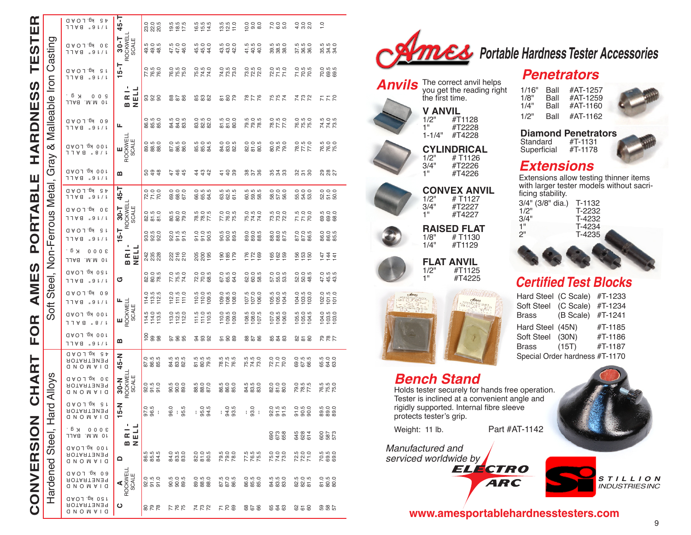| <b>HARDNESS TESTER</b><br>AMES PORTABLE I<br>FOR 1 | こと:tru / 22.4 (ldrovillow lovillow / ldrow lovillow lovillow lovillow lovillow lovillow lovillow lov |
|----------------------------------------------------|------------------------------------------------------------------------------------------------------|
| CHART                                              |                                                                                                      |
| くこりロ<br>ミンコンニ                                      | .<br>ב<br>-<br>くり て<br>こくつくこく                                                                        |

 $\sim$   $\Gamma$ 

|                                | 45 KG.LOAD<br>1 J A 8<br>$.9$ $\downarrow$ / $\downarrow$                   | $45 - 7$                      | $\overline{O}$ $\overline{O}$ $\overline{O}$<br>$\overline{\mathcal{R}}$ $\overline{\mathcal{R}}$ | rù rù rù<br>$\frac{3}{2}$ $\frac{3}{2}$ $\frac{1}{2}$                         | $655$<br>$655$                                | $13.5$<br>$15.0$<br>$11.0$    | 000<br>000<br>100                                      | 0 0 0<br>7 0 0<br>7                                    | 4000                          | 1.0                                                    |
|--------------------------------|-----------------------------------------------------------------------------|-------------------------------|---------------------------------------------------------------------------------------------------|-------------------------------------------------------------------------------|-----------------------------------------------|-------------------------------|--------------------------------------------------------|--------------------------------------------------------|-------------------------------|--------------------------------------------------------|
|                                | R <sub>g</sub> . LOAD<br>0E<br>11A8 "at\r                                   | ROCKWELL<br>SCALE<br>$30 - T$ | 5<br>9 9 9 9<br>4 9 9                                                                             | 47.0<br>47.0<br>46.0                                                          | 450<br>450<br>44                              | 4 4 4<br>4 4 4<br>4 4<br>43.  | $4.5$<br>$4.9$<br>$4.9$                                | 5<br>9 8 9 9<br>9 9 9                                  | 57.5<br>58.6<br>58.6          | 55<br>55<br>55<br>55<br>55                             |
|                                | R <sub>g</sub> . LOAD<br>g L<br>1 J A 8<br>$.9$ $\downarrow$ / $\downarrow$ | -1                            | $\overline{0}$ in $\overline{0}$<br>77<br>78.                                                     | $O$ in $O$<br>76.0                                                            | 75.0<br>74.0<br>74.0                          | 74.0<br>78.0<br>79.0          | 73.5<br>72.0<br>72.0                                   | $72.0$<br>$71.0$<br>$71.0$                             | 71.5<br>70.5<br>70.5          | 0 m m<br>0.990                                         |
|                                | K g.<br>009<br><b>BALL</b><br>.M.M<br>0 L                                   | BRI-<br>NELL                  | 888                                                                                               | 82 B                                                                          | 888                                           | <b>2822</b>                   | 87 R                                                   | <b>75<br/>74</b>                                       | 722                           | 577                                                    |
|                                | 00 Kg.LOAD<br>$.9$ $\downarrow$ / $\downarrow$<br>1 J A 8                   | щ                             | 0<br>86.5<br>85                                                                                   |                                                                               | 0<br>8 2 3<br>8 2 3                           | 51.0<br>51.0<br>50.0          | 79.0<br>79.5<br>78.                                    | 78.5<br>77.5<br>77.0                                   | 76.5<br>75.0<br>75.0          | 74.9<br>74.0<br>78.5                                   |
| Gray & Malleable Iron Casting  | 100 Kg. LOAD<br>9 ∀ ר ר<br>B / L                                            | ROCKWEL'<br>SCALE<br>ш        | $\circ$ $\circ$<br><b>88 88</b>                                                                   | 0<br>86.5<br>86.0                                                             | 55.0<br>55.0<br>55.5                          | 0<br>8<br>8<br>8<br>8<br>8    | 0<br>8 1 0 1<br>8 1 0 1                                |                                                        | 78.0<br>77.5<br>77.0          | 76.5<br>76.0<br>75.0                                   |
|                                | 100 Kg. LOAD<br>11A8 "at\r                                                  | മ                             | 898                                                                                               | 449                                                                           |                                               | 488                           | 858                                                    | 55 39                                                  | ೫ ಕ ೫                         | <b>2822</b>                                            |
|                                | Kg. LOAD<br>S p<br>1 J A 8<br>$.9$ $\downarrow$ / $\downarrow$              | 45-T                          | 2000<br>7700                                                                                      | 69.0<br>68.0<br>67.0                                                          | 66.5<br>66.5<br>64.5                          | rù rù rù<br>8 % s             | rù rù rù<br>888                                        | 58.0<br>57.0<br>56.0                                   | 0<br>53<br>53<br>53           | 52.0<br>55.0<br>50.0                                   |
| Soft Steel, Non-Ferrous Metal, | 30 Kg. LOAD<br>.91/1<br>1 J A 8                                             | ROCKWELL<br>SCALE<br>$30 - T$ | 0<br>8 5 5<br>8 5 6                                                                               | 80.0<br>80.0<br>79.0                                                          | 78.5<br>78.7<br>77.5                          | 76.0<br>75.5<br>77.0          | 75.5<br>74.0<br>74.0                                   | 73.0<br>72.0<br>72.0                                   | $7.00$<br>7.7.2               | 69.0<br>69.0<br>68.0                                   |
|                                | <b>JAOJ.BY ST</b><br>1 J A 8<br>$.9$ $\downarrow$ / $\downarrow$            | $15 - T$                      | 0. 10<br>ទាំង ១<br>ទាំង ១                                                                         |                                                                               | 0.0.0<br>5.5 S                                | 5<br>000 5<br>000 60          | 0<br>00 0 10<br>00 00 00                               | 0<br>88<br>88<br>87<br>87                              |                               | 0<br>8 8 9<br>8 9 9                                    |
|                                | ка.<br>0000<br>.M.M Or<br><b>BALL</b>                                       | ٠<br>BRIL<br>NELL             | 242<br>235<br>228                                                                                 |                                                                               | 200<br>200<br>195                             | ez<br>185<br>195              | $176$<br>$172$<br>$169$                                | 162<br>162                                             | 158<br>159<br>150             |                                                        |
|                                | 150 kg. LOAD<br>1 J A 8<br>$.9$ $\downarrow$ / $\downarrow$                 | ග                             | 0<br>8<br>8<br>8<br>7<br>8                                                                        | 77.5<br>75.5<br>74.0                                                          | 2005<br>2005<br>2006                          | 67.0<br>65.5<br>64.0          | 0 0 0<br>2 0 2<br>2 2 0                                |                                                        |                               | $45.5$<br>$43.5$                                       |
|                                | 09 KG.LOAD<br>$.9$ $\downarrow$ / $\downarrow$<br>1 J A 8                   |                               | $1400$<br>$1400$<br>$1400$<br>$140$                                                               | $\begin{array}{c} 12.0 \\ 11.5 \\ 11.0 \end{array}$                           | $\begin{array}{c} 110.5 \\ 109.5 \end{array}$ | $109.0$<br>$108.0$<br>$108.0$ | $\begin{array}{c} 107.5 \\ 107.0 \\ 106.0 \end{array}$ | 105.5<br>105.0<br>104.5                                | $104.0$<br>$103.0$<br>$103.0$ | $102.0$<br>$101.5$<br>$101.0$                          |
|                                | 100 Kg. LOAD<br>B / L<br>1 J A 8                                            | E<br>ROCKWELL<br>SCALE        | $114.5$<br>$114.5$<br>$113.5$                                                                     | $13.0$<br>$12.0$<br>$11.20$                                                   | 111.5<br>$111.0$<br>$110.5$                   | 109.5<br>110.0                | 108.5<br>108.0<br>107.5                                | $\begin{array}{c} 107.0 \\ 106.0 \\ 106.0 \end{array}$ | 105.5<br>105.0<br>104.5       | $\begin{array}{c} 104.0 \\ 103.0 \\ 103.0 \end{array}$ |
|                                | 100 kg. LOAD<br>$.9$ $\downarrow$ / $\downarrow$<br>1 J A 8                 | m                             | $\frac{8}{5}$ $\frac{8}{5}$                                                                       | 585                                                                           | 222                                           | 588                           | 82 B                                                   | 56 36<br>56                                            | 25 28                         | 787                                                    |
|                                | Kg. LOAD<br>S Þ<br>ROTARTENER<br><b>QNOWAIQ</b>                             | 45-N                          | $\dot{O}$ $\dot{H}$ $\dot{H}$<br>88<br>88<br>89                                                   | 84.5<br>83.8<br>82                                                            | 81.5<br>80.5<br>79.5                          | 78.5<br>77.5<br>78.5          | 75.5<br>74.0<br>73.0                                   | 200<br>200<br>200                                      | 0<br>07.5<br>06.5             | 65.0<br>64.0<br>63.0                                   |
|                                | 30 Kg.LOAD<br>RENETRATOR<br><b>QNOWVIQ</b>                                  | ROCKWELL<br>SCALE<br>$30 - N$ | 0 10 10<br>9 5 5<br>9 5 5                                                                         |                                                                               | 5<br>88<br>87<br>87                           | 5<br>8 8 9<br>8 9 9           | 5<br>3 3 3<br>3 3 3                                    | 0<br>20<br>20<br>20<br>20                              | 78.5<br>78.5                  | <b>550</b><br>18.18                                    |
| Hard Alloys                    | <b>JACI.CAD</b><br><b>AOTARTENER</b><br><b>QNOWVIQ</b>                      | z<br>군<br>┯                   | $97.0$<br>$96.5$                                                                                  | 96.0<br>Ю<br>් ස                                                              | $-0.5$<br>95.5                                | $-94.5$<br>93.5               | $-0.60$                                                | 0<br>9<br>5<br>9<br>5<br>9<br>5                        |                               | <b>500</b><br>888                                      |
|                                | ка.<br>0000<br>JJA8 .M.M O1                                                 | ٠<br>E<br>Œω<br>$\omega$ z    |                                                                                                   |                                                                               |                                               |                               |                                                        | 690<br>673<br>658                                      | 645<br>628<br>614             | 8573<br>585                                            |
|                                | 100 Kg.LOAD<br>RENETRATOR<br>ONOWAIO                                        | ≏                             | rù rù rù<br>883                                                                                   | $\overline{Q}$ in $\overline{Q}$<br>$\frac{4}{8}$ $\frac{3}{8}$ $\frac{3}{8}$ | 0<br>20<br>20<br>20<br>20                     | 79.0<br>79.0<br>78.0          | 77.5<br>76.5<br>75.5                                   | 75.0<br>74.0<br>73.0                                   | 72.0<br>72.0<br>71.0          | rù rù ci<br>89.8                                       |
| Hardened Steel,                | 080 KG. LOAD<br><b>AOTAATEMER</b><br><b>QNOMAIQ</b>                         | ROCKWELL<br>SCALE             | 0<br>8 5 5<br>8 5 5                                                                               |                                                                               | $O$ in $O$<br><b>28 38 39</b>                 | 87.5<br>86.9<br>86.5          | $\overline{O}$ in $\overline{O}$<br>86.00              | <b>555</b><br><b>22 23 24</b>                          | 82.05<br>82.05<br>85          |                                                        |
|                                | 150 kg. LOAD<br><b>AOTARTENER</b><br><b>Q N O M A I Q</b>                   | ပ                             | ೧೧ ನಡ                                                                                             | 785                                                                           | 722                                           | 525                           | 829                                                    | 625                                                    | 828                           | នី និង                                                 |



*Anvils*

The correct anvil helps you get the reading right

**CONVEX ANVI** 1/2" # T1127<br>3/4" #T2227 3/4" #T2227<br>1" #T4227 #T4227

**RAISED F LAT** 1/8" #T1130<br>1/4" #T1129 #T1129

**FLAT ANVIL**<br>1/2" #T1125 1/2" #T1125<br>1" #T4225 #T4225

the first time.

**V** ANVI 1/2" #T1128<br>1" #T2228 #T2228 1-1/4" #T4228 **CYLINDRICA L** 1/2" # T1126<br>3/4" #T2226 3/4" #T2226<br>1" #T4226 #T4226

# *PUES* Portable Hardness Tester Accessories

# *Penetrators*

| 1/16" | Ball | #AT-1257 |
|-------|------|----------|
| 1/8"  | Ball | #AT-1259 |
| 1/4"  | Ball | #AT-1160 |
| 1/2"  | Ball | #AT-1162 |

**Diamond Penetrators**<br>Standard #T-1131 Standard #T-1131<br>Superficial #T-1178 Superficial



# *Extensions*

Extensions allow testing thinner items with larger tester models without sacri ficing stability.

| 3/4" (3/8" dia.) | T-1132 |
|------------------|--------|
| 1/2"             | T-2232 |
| 3/4"             | T-4232 |
| 1"               | T-4234 |
| 2"               | T-4235 |
|                  |        |
|                  |        |
|                  |        |

# *Certified Test Blocks*

| Hard Steel (C Scale)           |           | #T-1233 |
|--------------------------------|-----------|---------|
| Soft Steel (C Scale)           |           | #T-1234 |
| Brass                          | (B Scale) | #T-1241 |
| Hard Steel (45N)               |           | #T-1185 |
| Soft Steel (30N)               |           | #T-1186 |
| Brass                          | (15T)     | #T-1187 |
| Special Order hardness #T-1170 |           |         |

# *Bench Stand*

Holds tester securely for hands free operation. Tester is inclined at a convenient angle and rigidly supported. Internal fibre sleeve protects tester's grip.

Weight: 11 lb. **Part #AT-1142** 

*Manufactured and* 





*S t illion Industries INC*

**www.amesportablehardnesstesters.com**